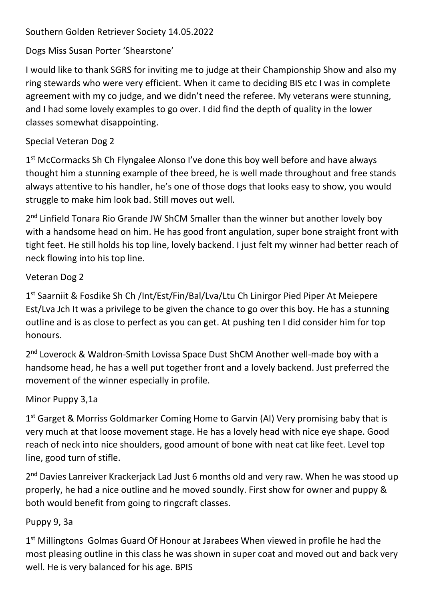## Southern Golden Retriever Society 14.05.2022

### Dogs Miss Susan Porter 'Shearstone'

I would like to thank SGRS for inviting me to judge at their Championship Show and also my ring stewards who were very efficient. When it came to deciding BIS etc I was in complete agreement with my co judge, and we didn't need the referee. My veterans were stunning, and I had some lovely examples to go over. I did find the depth of quality in the lower classes somewhat disappointing.

## Special Veteran Dog 2

1<sup>st</sup> McCormacks Sh Ch Flyngalee Alonso I've done this boy well before and have always thought him a stunning example of thee breed, he is well made throughout and free stands always attentive to his handler, he's one of those dogs that looks easy to show, you would struggle to make him look bad. Still moves out well.

2<sup>nd</sup> Linfield Tonara Rio Grande JW ShCM Smaller than the winner but another lovely boy with a handsome head on him. He has good front angulation, super bone straight front with tight feet. He still holds his top line, lovely backend. I just felt my winner had better reach of neck flowing into his top line.

### Veteran Dog 2

1<sup>st</sup> Saarniit & Fosdike Sh Ch /Int/Est/Fin/Bal/Lva/Ltu Ch Linirgor Pied Piper At Meiepere Est/Lva Jch It was a privilege to be given the chance to go over this boy. He has a stunning outline and is as close to perfect as you can get. At pushing ten I did consider him for top honours.

2<sup>nd</sup> Loverock & Waldron-Smith Lovissa Space Dust ShCM Another well-made boy with a handsome head, he has a well put together front and a lovely backend. Just preferred the movement of the winner especially in profile.

### Minor Puppy 3,1a

1<sup>st</sup> Garget & Morriss Goldmarker Coming Home to Garvin (AI) Very promising baby that is very much at that loose movement stage. He has a lovely head with nice eye shape. Good reach of neck into nice shoulders, good amount of bone with neat cat like feet. Level top line, good turn of stifle.

2<sup>nd</sup> Davies Lanreiver Krackerjack Lad Just 6 months old and very raw. When he was stood up properly, he had a nice outline and he moved soundly. First show for owner and puppy & both would benefit from going to ringcraft classes.

### Puppy 9, 3a

1<sup>st</sup> Millingtons Golmas Guard Of Honour at Jarabees When viewed in profile he had the most pleasing outline in this class he was shown in super coat and moved out and back very well. He is very balanced for his age. BPIS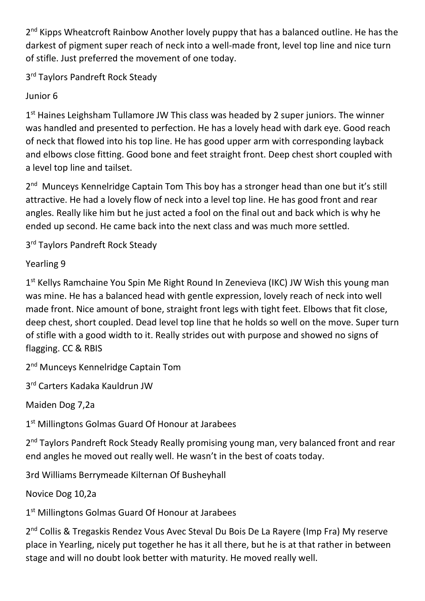2<sup>nd</sup> Kipps Wheatcroft Rainbow Another lovely puppy that has a balanced outline. He has the darkest of pigment super reach of neck into a well-made front, level top line and nice turn of stifle. Just preferred the movement of one today.

3<sup>rd</sup> Taylors Pandreft Rock Steady

# Junior 6

1<sup>st</sup> Haines Leighsham Tullamore JW This class was headed by 2 super juniors. The winner was handled and presented to perfection. He has a lovely head with dark eye. Good reach of neck that flowed into his top line. He has good upper arm with corresponding layback and elbows close fitting. Good bone and feet straight front. Deep chest short coupled with a level top line and tailset.

2<sup>nd</sup> Munceys Kennelridge Captain Tom This boy has a stronger head than one but it's still attractive. He had a lovely flow of neck into a level top line. He has good front and rear angles. Really like him but he just acted a fool on the final out and back which is why he ended up second. He came back into the next class and was much more settled.

3<sup>rd</sup> Taylors Pandreft Rock Steady

# Yearling 9

1<sup>st</sup> Kellys Ramchaine You Spin Me Right Round In Zenevieva (IKC) JW Wish this young man was mine. He has a balanced head with gentle expression, lovely reach of neck into well made front. Nice amount of bone, straight front legs with tight feet. Elbows that fit close, deep chest, short coupled. Dead level top line that he holds so well on the move. Super turn of stifle with a good width to it. Really strides out with purpose and showed no signs of flagging. CC & RBIS

2<sup>nd</sup> Munceys Kennelridge Captain Tom

3<sup>rd</sup> Carters Kadaka Kauldrun JW

Maiden Dog 7,2a

1<sup>st</sup> Millingtons Golmas Guard Of Honour at Jarabees

2<sup>nd</sup> Taylors Pandreft Rock Steady Really promising young man, very balanced front and rear end angles he moved out really well. He wasn't in the best of coats today.

3rd Williams Berrymeade Kilternan Of Busheyhall

Novice Dog 10,2a

1<sup>st</sup> Millingtons Golmas Guard Of Honour at Jarabees

2<sup>nd</sup> Collis & Tregaskis Rendez Vous Avec Steval Du Bois De La Rayere (Imp Fra) My reserve place in Yearling, nicely put together he has it all there, but he is at that rather in between stage and will no doubt look better with maturity. He moved really well.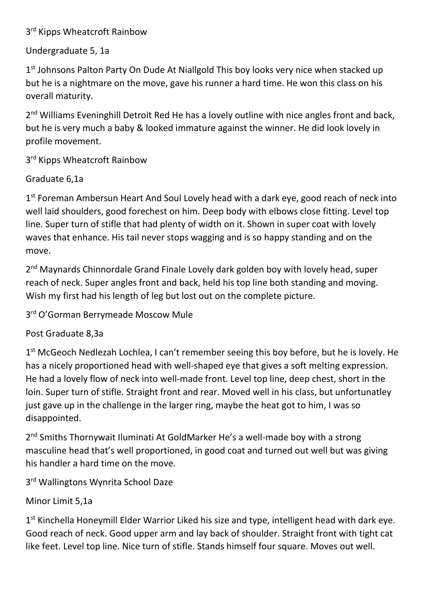3<sup>rd</sup> Kipps Wheatcroft Rainbow

Undergraduate 5, 1a

1<sup>st</sup> Johnsons Palton Party On Dude At Niallgold This boy looks very nice when stacked up but he is a nightmare on the move, gave his runner a hard time. He won this class on his overall maturity.

2<sup>nd</sup> Williams Eveninghill Detroit Red He has a lovely outline with nice angles front and back, but he is very much a baby & looked immature against the winner. He did look lovely in profile movement.

3<sup>rd</sup> Kipps Wheatcroft Rainbow

Graduate 6,1a

 $1<sup>st</sup>$  Foreman Ambersun Heart And Soul Lovely head with a dark eye, good reach of neck into well laid shoulders, good forechest on him. Deep body with elbows close fitting. Level top line. Super turn of stifle that had plenty of width on it. Shown in super coat with lovely waves that enhance. His tail never stops wagging and is so happy standing and on the move.

2<sup>nd</sup> Maynards Chinnordale Grand Finale Lovely dark golden boy with lovely head, super reach of neck. Super angles front and back, held his top line both standing and moving. Wish my first had his length of leg but lost out on the complete picture.

3rd O'Gorman Berrymeade Moscow Mule

# Post Graduate 8,3a

1<sup>st</sup> McGeoch Nedlezah Lochlea, I can't remember seeing this boy before, but he is lovely. He has a nicely proportioned head with well-shaped eye that gives a soft melting expression. He had a lovely flow of neck into well-made front. Level top line, deep chest, short in the loin. Super turn of stifle. Straight front and rear. Moved well in his class, but unfortunatley just gave up in the challenge in the larger ring, maybe the heat got to him, I was so disappointed.

2<sup>nd</sup> Smiths Thornywait Iluminati At GoldMarker He's a well-made boy with a strong masculine head that's well proportioned, in good coat and turned out well but was giving his handler a hard time on the move.

3rd Wallingtons Wynrita School Daze

Minor Limit 5,1a

1<sup>st</sup> Kinchella Honeymill Elder Warrior Liked his size and type, intelligent head with dark eye. Good reach of neck. Good upper arm and lay back of shoulder. Straight front with tight cat like feet. Level top line. Nice turn of stifle. Stands himself four square. Moves out well.